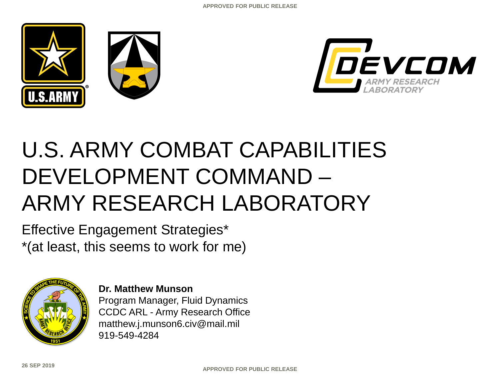





# U.S. ARMY COMBAT CAPABILITIES DEVELOPMENT COMMAND – ARMY RESEARCH LABORATORY

Effective Engagement Strategies\* \*(at least, this seems to work for me)



**Dr. Matthew Munson** Program Manager, Fluid Dynamics CCDC ARL - Army Research Office matthew.j.munson6.civ@mail.mil 919-549-4284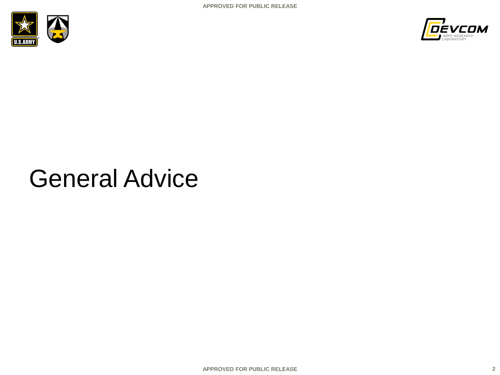



# General Advice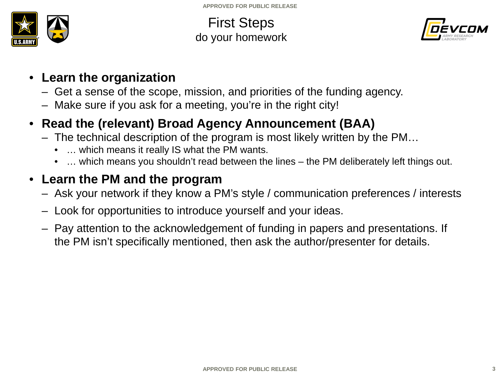

First Steps do your homework



- **Learn the organization**
	- Get a sense of the scope, mission, and priorities of the funding agency.
	- Make sure if you ask for a meeting, you're in the right city!

### • **Read the (relevant) Broad Agency Announcement (BAA)**

- The technical description of the program is most likely written by the PM…
	- … which means it really IS what the PM wants.
	- … which means you shouldn't read between the lines the PM deliberately left things out.

### • **Learn the PM and the program**

- Ask your network if they know a PM's style / communication preferences / interests
- Look for opportunities to introduce yourself and your ideas.
- Pay attention to the acknowledgement of funding in papers and presentations. If the PM isn't specifically mentioned, then ask the author/presenter for details.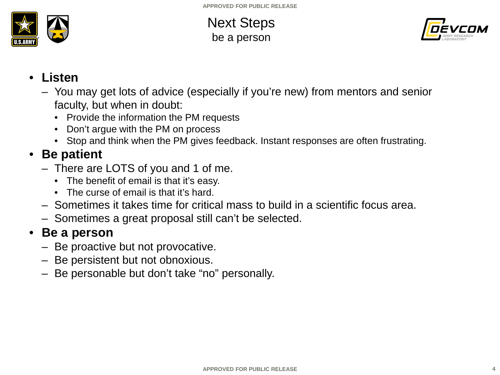

Next Steps be a person



- **Listen**
	- You may get lots of advice (especially if you're new) from mentors and senior faculty, but when in doubt:
		- Provide the information the PM requests
		- Don't argue with the PM on process
		- Stop and think when the PM gives feedback. Instant responses are often frustrating.

### • **Be patient**

- There are LOTS of you and 1 of me.
	- The benefit of email is that it's easy.
	- The curse of email is that it's hard.
- Sometimes it takes time for critical mass to build in a scientific focus area.
- Sometimes a great proposal still can't be selected.

#### • **Be a person**

- Be proactive but not provocative.
- Be persistent but not obnoxious.
- Be personable but don't take "no" personally.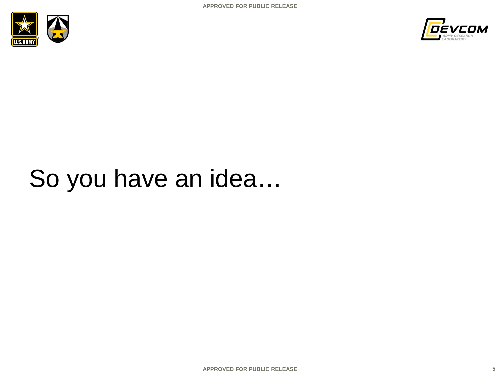



# So you have an idea…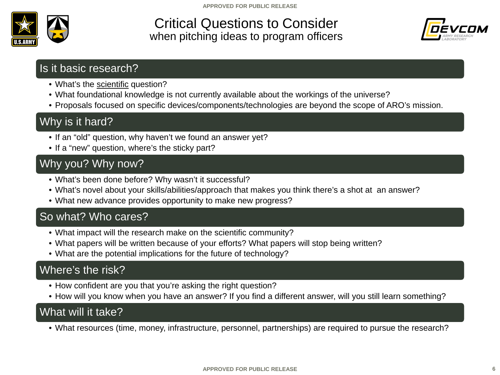

#### Critical Questions to Consider when pitching ideas to program officers



#### Is it basic research?

- What's the scientific question?
- What foundational knowledge is not currently available about the workings of the universe?
- Proposals focused on specific devices/components/technologies are beyond the scope of ARO's mission.

### Why is it hard?

- If an "old" question, why haven't we found an answer yet?
- If a "new" question, where's the sticky part?

#### Why you? Why now?

- What's been done before? Why wasn't it successful?
- What's novel about your skills/abilities/approach that makes you think there's a shot at an answer?
- What new advance provides opportunity to make new progress?

#### So what? Who cares?

- What impact will the research make on the scientific community?
- What papers will be written because of your efforts? What papers will stop being written?
- What are the potential implications for the future of technology?

#### Where's the risk?

- How confident are you that you're asking the right question?
- How will you know when you have an answer? If you find a different answer, will you still learn something?

#### What will it take?

• What resources (time, money, infrastructure, personnel, partnerships) are required to pursue the research?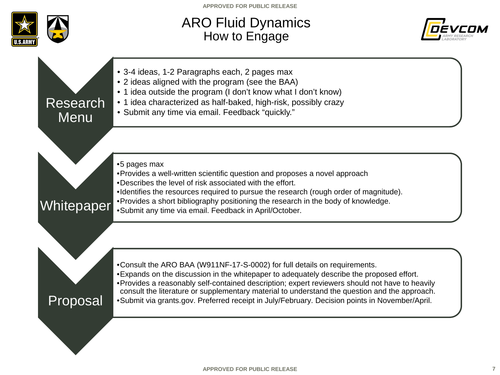

### ARO Fluid Dynamics How to Engage



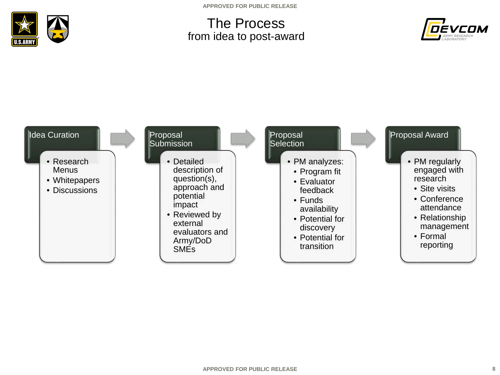

**APPROVED FOR PUBLIC RELEASE**

### The Process from idea to post-award



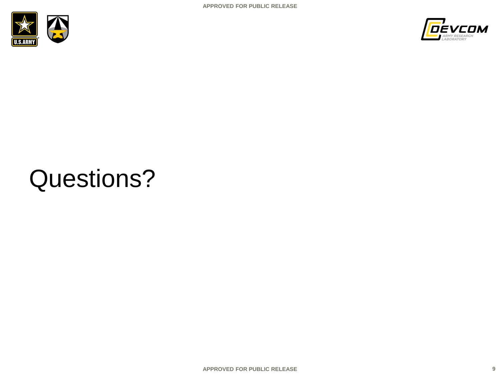



# Questions?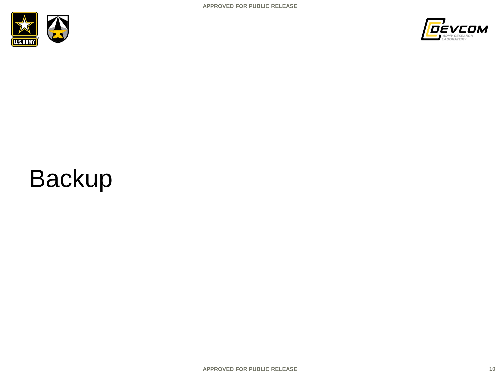



# Backup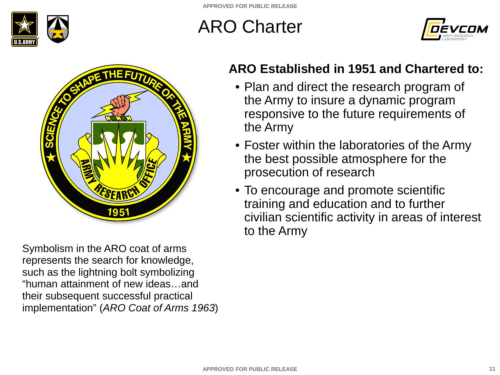

## ARO Charter





Symbolism in the ARO coat of arms represents the search for knowledge, such as the lightning bolt symbolizing "human attainment of new ideas…and their subsequent successful practical implementation" (*ARO Coat of Arms 1963*)

### **ARO Established in 1951 and Chartered to:**

- Plan and direct the research program of the Army to insure a dynamic program responsive to the future requirements of the Army
- Foster within the laboratories of the Army the best possible atmosphere for the prosecution of research
- To encourage and promote scientific training and education and to further civilian scientific activity in areas of interest to the Army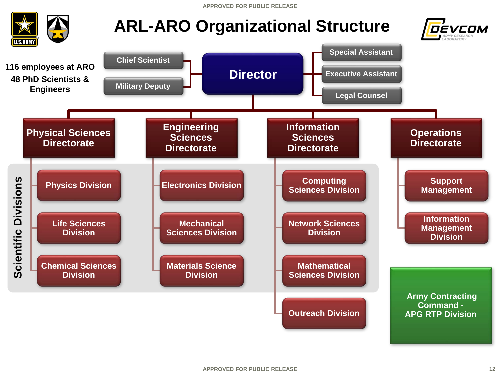**APPROVED FOR PUBLIC RELEASE**